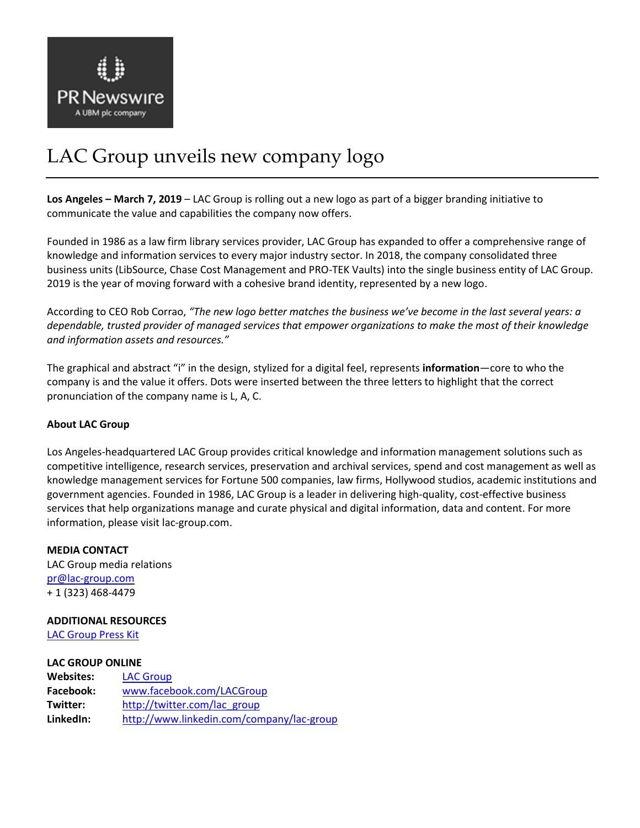

## LAC Group unveils new company logo

**Los Angeles – March 7, 2019** – LAC Group is rolling out a new logo as part of a bigger branding initiative to communicate the value and capabilities the company now offers.

Founded in 1986 as a law firm library services provider, LAC Group has expanded to offer a comprehensive range of knowledge and information services to every major industry sector. In 2018, the company consolidated three business units (LibSource, Chase Cost Management and PRO-TEK Vaults) into the single business entity of LAC Group. 2019 is the year of moving forward with a cohesive brand identity, represented by a new logo.

According to CEO Rob Corrao, *"The new logo better matches the business we've become in the last several years: a dependable, trusted provider of managed services that empower organizations to make the most of their knowledge and information assets and resources."*

The graphical and abstract "i" in the design, stylized for a digital feel, represents **information**—core to who the company is and the value it offers. Dots were inserted between the three letters to highlight that the correct pronunciation of the company name is L, A, C.

## **About LAC Group**

Los Angeles-headquartered LAC Group provides critical knowledge and information management solutions such as competitive intelligence, research services, preservation and archival services, spend and cost management as well as knowledge management services for Fortune 500 companies, law firms, Hollywood studios, academic institutions and government agencies. Founded in 1986, LAC Group is a leader in delivering high-quality, cost-effective business services that help organizations manage and curate physical and digital information, data and content. For more information, please visit lac-group.com.

**MEDIA CONTACT** LAC Group media relations [pr@lac-group.com](mailto:pr@lac-group.com) + 1 (323) 468-4479

## **ADDITIONAL RESOURCES**

[LAC Group Press Kit](https://lac-group.com/lac-group-media-resources/)

## **LAC GROUP ONLINE**

| <b>Websites:</b> | <b>LAC Group</b>                          |
|------------------|-------------------------------------------|
| Facebook:        | www.facebook.com/LACGroup                 |
| Twitter:         | http://twitter.com/lac_group              |
| LinkedIn:        | http://www.linkedin.com/company/lac-group |